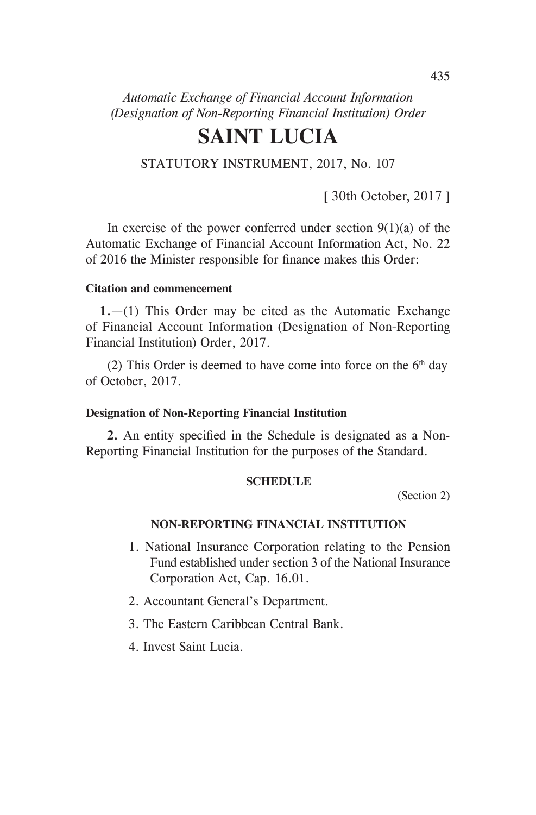*Automatic Exchange of Financial Account Information (Designation of Non-Reporting Financial Institution) Order* 

# **SAINT LUCIA**

STATUTORY INSTRUMENT, 2017, No. 107

[ 30th October, 2017 ]

In exercise of the power conferred under section  $9(1)(a)$  of the Automatic Exchange of Financial Account Information Act, No. 22 of 2016 the Minister responsible for finance makes this Order:

## **Citation and commencement**

**1.**—(1) This Order may be cited as the Automatic Exchange of Financial Account Information (Designation of Non-Reporting Financial Institution) Order, 2017.

(2) This Order is deemed to have come into force on the  $6<sup>th</sup>$  day of October, 2017.

#### **Designation of Non-Reporting Financial Institution**

**2.** An entity specified in the Schedule is designated as a Non-Reporting Financial Institution for the purposes of the Standard.

### **SCHEDULE**

(Section 2)

## **NON-REPORTING FINANCIAL INSTITUTION**

- 1. National Insurance Corporation relating to the Pension Fund established under section 3 of the National Insurance Corporation Act, Cap. 16.01.
- 2. Accountant General's Department.
- 3. The Eastern Caribbean Central Bank.
- 4. Invest Saint Lucia.